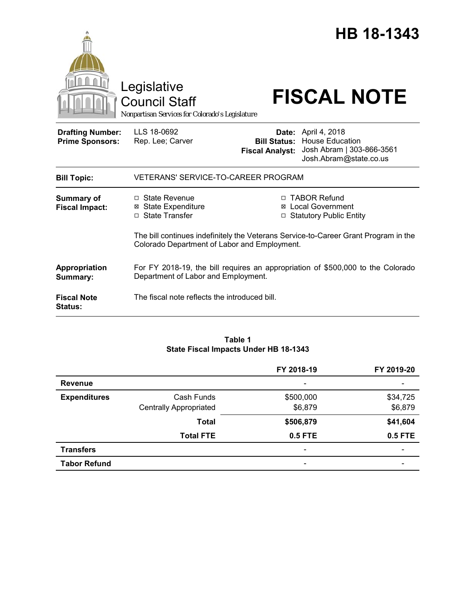|                                                   |                                                                                                                                     |                                                                   | HB 18-1343                                                                                                               |  |
|---------------------------------------------------|-------------------------------------------------------------------------------------------------------------------------------------|-------------------------------------------------------------------|--------------------------------------------------------------------------------------------------------------------------|--|
|                                                   | Legislative<br><b>Council Staff</b><br>Nonpartisan Services for Colorado's Legislature                                              |                                                                   | <b>FISCAL NOTE</b>                                                                                                       |  |
| <b>Drafting Number:</b><br><b>Prime Sponsors:</b> | LLS 18-0692<br>Rep. Lee; Carver                                                                                                     | <b>Fiscal Analyst:</b>                                            | <b>Date:</b> April 4, 2018<br><b>Bill Status: House Education</b><br>Josh Abram   303-866-3561<br>Josh.Abram@state.co.us |  |
| <b>Bill Topic:</b>                                | <b>VETERANS' SERVICE-TO-CAREER PROGRAM</b>                                                                                          |                                                                   |                                                                                                                          |  |
| <b>Summary of</b><br><b>Fiscal Impact:</b>        | $\Box$ State Revenue<br><b>⊠</b> State Expenditure<br>□ State Transfer                                                              | □ TABOR Refund<br>⊠ Local Government<br>□ Statutory Public Entity |                                                                                                                          |  |
|                                                   | The bill continues indefinitely the Veterans Service-to-Career Grant Program in the<br>Colorado Department of Labor and Employment. |                                                                   |                                                                                                                          |  |
| Appropriation<br>Summary:                         | For FY 2018-19, the bill requires an appropriation of \$500,000 to the Colorado<br>Department of Labor and Employment.              |                                                                   |                                                                                                                          |  |
| <b>Fiscal Note</b><br><b>Status:</b>              | The fiscal note reflects the introduced bill.                                                                                       |                                                                   |                                                                                                                          |  |

## **Table 1 State Fiscal Impacts Under HB 18-1343**

|                     |                               | FY 2018-19                   | FY 2019-20               |
|---------------------|-------------------------------|------------------------------|--------------------------|
| <b>Revenue</b>      |                               | $\qquad \qquad \blacksquare$ |                          |
| <b>Expenditures</b> | Cash Funds                    | \$500,000                    | \$34,725                 |
|                     | <b>Centrally Appropriated</b> | \$6,879                      | \$6,879                  |
|                     | <b>Total</b>                  | \$506,879                    | \$41,604                 |
|                     | <b>Total FTE</b>              | 0.5 FTE                      | 0.5 FTE                  |
| <b>Transfers</b>    |                               | $\overline{\phantom{a}}$     | $\overline{\phantom{0}}$ |
| <b>Tabor Refund</b> |                               | $\overline{\phantom{a}}$     | $\overline{\phantom{0}}$ |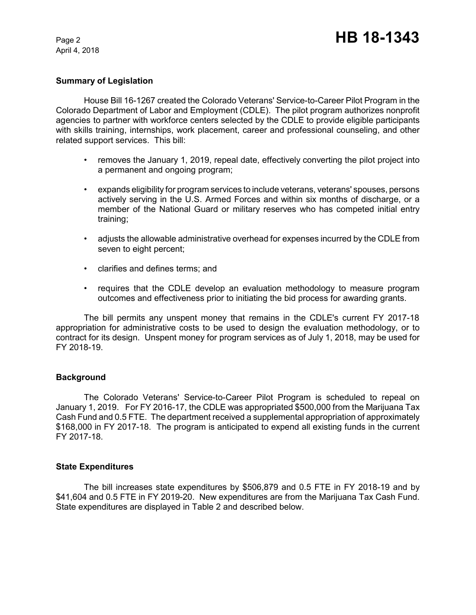April 4, 2018

## **Summary of Legislation**

House Bill 16-1267 created the Colorado Veterans' Service-to-Career Pilot Program in the Colorado Department of Labor and Employment (CDLE). The pilot program authorizes nonprofit agencies to partner with workforce centers selected by the CDLE to provide eligible participants with skills training, internships, work placement, career and professional counseling, and other related support services. This bill:

- removes the January 1, 2019, repeal date, effectively converting the pilot project into a permanent and ongoing program;
- expands eligibility for program services to include veterans, veterans' spouses, persons actively serving in the U.S. Armed Forces and within six months of discharge, or a member of the National Guard or military reserves who has competed initial entry training;
- adjusts the allowable administrative overhead for expenses incurred by the CDLE from seven to eight percent;
- clarifies and defines terms; and
- requires that the CDLE develop an evaluation methodology to measure program outcomes and effectiveness prior to initiating the bid process for awarding grants.

The bill permits any unspent money that remains in the CDLE's current FY 2017-18 appropriation for administrative costs to be used to design the evaluation methodology, or to contract for its design. Unspent money for program services as of July 1, 2018, may be used for FY 2018-19.

## **Background**

The Colorado Veterans' Service-to-Career Pilot Program is scheduled to repeal on January 1, 2019. For FY 2016-17, the CDLE was appropriated \$500,000 from the Marijuana Tax Cash Fund and 0.5 FTE. The department received a supplemental appropriation of approximately \$168,000 in FY 2017-18. The program is anticipated to expend all existing funds in the current FY 2017-18.

### **State Expenditures**

The bill increases state expenditures by \$506,879 and 0.5 FTE in FY 2018-19 and by \$41,604 and 0.5 FTE in FY 2019-20. New expenditures are from the Marijuana Tax Cash Fund. State expenditures are displayed in Table 2 and described below.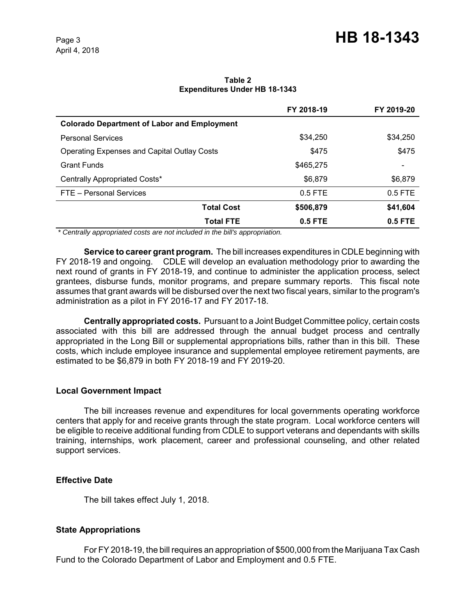#### **Table 2 Expenditures Under HB 18-1343**

|                                                    | FY 2018-19 | FY 2019-20               |
|----------------------------------------------------|------------|--------------------------|
| <b>Colorado Department of Labor and Employment</b> |            |                          |
| <b>Personal Services</b>                           | \$34.250   | \$34,250                 |
| <b>Operating Expenses and Capital Outlay Costs</b> | \$475      | \$475                    |
| <b>Grant Funds</b>                                 | \$465.275  | $\overline{\phantom{0}}$ |
| Centrally Appropriated Costs*                      | \$6,879    | \$6,879                  |
| FTE - Personal Services                            | $0.5$ FTE  | $0.5$ FTE                |
| <b>Total Cost</b>                                  | \$506,879  | \$41,604                 |
| <b>Total FTE</b>                                   | $0.5$ FTE  | $0.5$ FTE                |

 *\* Centrally appropriated costs are not included in the bill's appropriation.*

**Service to career grant program.** The bill increases expenditures in CDLE beginning with FY 2018-19 and ongoing. CDLE will develop an evaluation methodology prior to awarding the next round of grants in FY 2018-19, and continue to administer the application process, select grantees, disburse funds, monitor programs, and prepare summary reports. This fiscal note assumes that grant awards will be disbursed over the next two fiscal years, similar to the program's administration as a pilot in FY 2016-17 and FY 2017-18.

**Centrally appropriated costs.** Pursuant to a Joint Budget Committee policy, certain costs associated with this bill are addressed through the annual budget process and centrally appropriated in the Long Bill or supplemental appropriations bills, rather than in this bill. These costs, which include employee insurance and supplemental employee retirement payments, are estimated to be \$6,879 in both FY 2018-19 and FY 2019-20.

# **Local Government Impact**

The bill increases revenue and expenditures for local governments operating workforce centers that apply for and receive grants through the state program. Local workforce centers will be eligible to receive additional funding from CDLE to support veterans and dependants with skills training, internships, work placement, career and professional counseling, and other related support services.

# **Effective Date**

The bill takes effect July 1, 2018.

# **State Appropriations**

For FY 2018-19, the bill requires an appropriation of \$500,000 from the Marijuana Tax Cash Fund to the Colorado Department of Labor and Employment and 0.5 FTE.